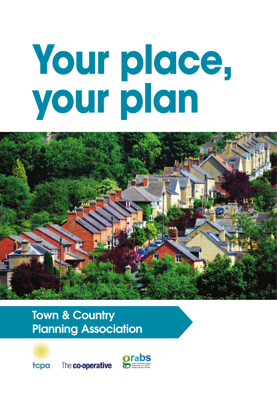# **Your place, your plan**



### **Town & Country** Planning Association



tcpa The co-operative

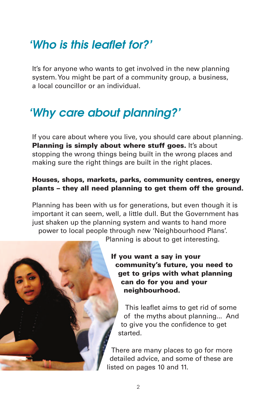### 'Who is this leaflet for?'

It's for anyone who wants to get involved in the new planning system. You might be part of a community group, a business, a local councillor or an individual.

### 'Why care about planning?'

If you care about where you live, you should care about planning. **Planning is simply about where stuff goes.** It's about stopping the wrong things being built in the wrong places and making sure the right things are built in the right places.

#### Houses, shops, markets, parks, community centres, energy plants – they all need planning to get them off the ground.

Planning has been with us for generations, but even though it is important it can seem, well, a little dull. But the Government has just shaken up the planning system and wants to hand more power to local people through new 'Neighbourhood Plans'.

Planning is about to get interesting.

If you want a say in your community's future, you need to get to grips with what planning can do for you and your neighbourhood.

This leaflet aims to get rid of some of the myths about planning... And to give you the confidence to get started.

There are many places to go for more detailed advice, and some of these are listed on pages 10 and 11.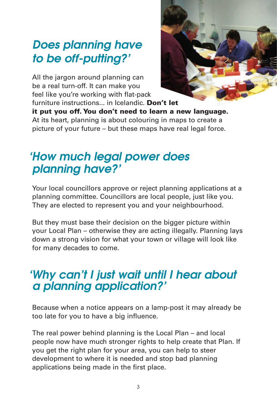### Does planning have to be off-putting?'

All the jargon around planning can be a real turn-off. It can make you feel like you're working with flat-pack furniture instructions... in Icelandic. Don't let



it put you off. You don't need to learn a new language. At its heart, planning is about colouring in maps to create a picture of your future – but these maps have real legal force.

### 'How much legal power does planning have?'

Your local councillors approve or reject planning applications at a planning committee. Councillors are local people, just like you. They are elected to represent you and your neighbourhood.

But they must base their decision on the bigger picture within your Local Plan – otherwise they are acting illegally. Planning lays down a strong vision for what your town or village will look like for many decades to come.

### 'Why can't I just wait until I hear about a planning application?'

Because when a notice appears on a lamp-post it may already be too late for you to have a big influence.

The real power behind planning is the Local Plan – and local people now have much stronger rights to help create that Plan. If you get the right plan for your area, you can help to steer development to where it is needed and stop bad planning applications being made in the first place.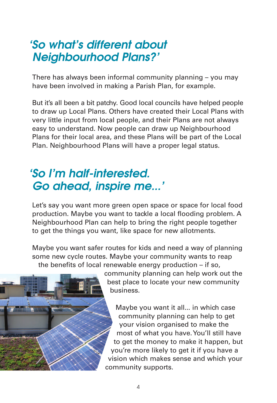### 'So what's different about Neighbourhood Plans?'

There has always been informal community planning – you may have been involved in making a Parish Plan, for example.

But it's all been a bit patchy. Good local councils have helped people to draw up Local Plans. Others have created their Local Plans with very little input from local people, and their Plans are not always easy to understand. Now people can draw up Neighbourhood Plans for their local area, and these Plans will be part of the Local Plan. Neighbourhood Plans will have a proper legal status.

### 'So I'm half-interested. Go ahead, inspire me...'

Let's say you want more green open space or space for local food production. Maybe you want to tackle a local flooding problem. A Neighbourhood Plan can help to bring the right people together to get the things you want, like space for new allotments.

Maybe you want safer routes for kids and need a way of planning some new cycle routes. Maybe your community wants to reap the benefits of local renewable energy production – if so,



community planning can help work out the best place to locate your new community business.

Maybe you want it all... in which case community planning can help to get your vision organised to make the most of what you have. You'll still have to get the money to make it happen, but you're more likely to get it if you have a vision which makes sense and which your community supports.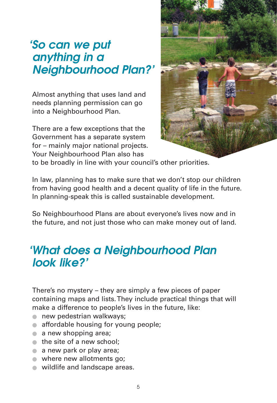### 'So can we put anything in a Neighbourhood Plan?'

Almost anything that uses land and needs planning permission can go into a Neighbourhood Plan.

There are a few exceptions that the Government has a separate system for – mainly major national projects. Your Neighbourhood Plan also has



to be broadly in line with your council's other priorities.

In law, planning has to make sure that we don't stop our children from having good health and a decent quality of life in the future. In planning-speak this is called sustainable development.

So Neighbourhood Plans are about everyone's lives now and in the future, and not just those who can make money out of land.

### 'What does a Neighbourhood Plan look like?'

There's no mystery – they are simply a few pieces of paper containing maps and lists. They include practical things that will make a difference to people's lives in the future, like:

- **new pedestrian walkways;**
- affordable housing for young people;
- a new shopping area;
- the site of a new school;
- a new park or play area;
- where new allotments go;
- wildlife and landscape areas.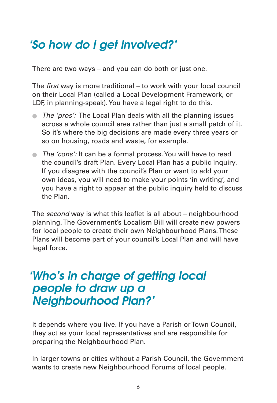### 'So how do I get involved?'

There are two ways – and you can do both or just one.

The first way is more traditional – to work with your local council on their Local Plan (called a Local Development Framework, or LDF, in planning-speak). You have a legal right to do this.

- The 'pros': The Local Plan deals with all the planning issues across a whole council area rather than just a small patch of it. So it's where the big decisions are made every three years or so on housing, roads and waste, for example.
- The 'cons': It can be a formal process. You will have to read the council's draft Plan. Every Local Plan has a public inquiry. If you disagree with the council's Plan or want to add your own ideas, you will need to make your points 'in writing', and you have a right to appear at the public inquiry held to discuss the Plan.

The second way is what this leaflet is all about – neighbourhood planning. The Government's Localism Bill will create new powers for local people to create their own Neighbourhood Plans. These Plans will become part of your council's Local Plan and will have legal force.

### 'Who's in charge of getting local people to draw up a Neighbourhood Plan?'

It depends where you live. If you have a Parish or Town Council, they act as your local representatives and are responsible for preparing the Neighbourhood Plan.

In larger towns or cities without a Parish Council, the Government wants to create new Neighbourhood Forums of local people.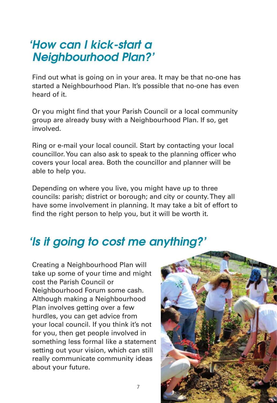### 'How can I kick-start a Neighbourhood Plan?'

Find out what is going on in your area. It may be that no-one has started a Neighbourhood Plan. It's possible that no-one has even heard of it.

Or you might find that your Parish Council or a local community group are already busy with a Neighbourhood Plan. If so, get involved.

Ring or e-mail your local council. Start by contacting your local councillor. You can also ask to speak to the planning officer who covers your local area. Both the councillor and planner will be able to help you.

Depending on where you live, you might have up to three councils: parish; district or borough; and city or county. They all have some involvement in planning. It may take a bit of effort to find the right person to help you, but it will be worth it.

7

### 'Is it going to cost me anything?'

Creating a Neighbourhood Plan will take up some of your time and might cost the Parish Council or Neighbourhood Forum some cash. Although making a Neighbourhood Plan involves getting over a few hurdles, you can get advice from your local council. If you think it's not for you, then get people involved in something less formal like a statement setting out your vision, which can still really communicate community ideas about your future.

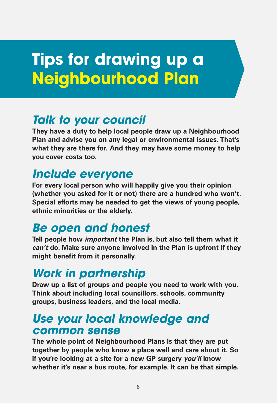# **Tips for drawing up a Neighbourhood Plan**

### **Talk to your council**

**They have a duty to help local people draw up a Neighbourhood Plan and advise you on any legal or environmental issues. That's what they are there for. And they may have some money to help you cover costs too.**

### **Include everyone**

**For every local person who will happily give you their opinion (whether you asked for it or not) there are a hundred who won't. Special efforts may be needed to get the views of young people, ethnic minorities or the elderly.**

### **Be open and honest**

**Tell people how important the Plan is, but also tell them what it can't do. Make sure anyone involved in the Plan is upfront if they might benefit from it personally.**

### **Work in partnership**

**Draw up a list of groups and people you need to work with you. Think about including local councillors, schools, community groups, business leaders, and the local media.**

### **Use your local knowledge and common sense**

**The whole point of Neighbourhood Plans is that they are put together by people who know a place well and care about it. So if you're looking at a site for a new GP surgery you'll know whether it's near a bus route, for example. It can be that simple.**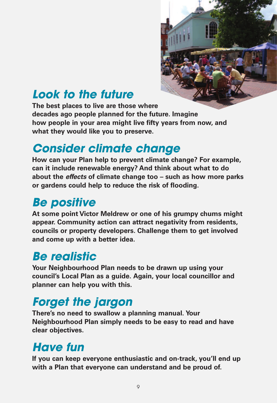

### **Look to the future**

**The best places to live are those where decades ago people planned for the future. Imagine how people in your area might live fifty years from now, and what they would like you to preserve.**

### **Consider climate change**

**How can your Plan help to prevent climate change? For example, can it include renewable energy? And think about what to do about the effects of climate change too – such as how more parks or gardens could help to reduce the risk of flooding.**

### **Be positive**

**At some point Victor Meldrew or one of his grumpy chums might appear. Community action can attract negativity from residents, councils or property developers. Challenge them to get involved and come up with a better idea.**

### **Be realistic**

**Your Neighbourhood Plan needs to be drawn up using your council's Local Plan as a guide. Again, your local councillor and planner can help you with this.**

### **Forget the jargon**

**There's no need to swallow a planning manual. Your Neighbourhood Plan simply needs to be easy to read and have clear objectives.**

### **Have fun**

**If you can keep everyone enthusiastic and on-track, you'll end up with a Plan that everyone can understand and be proud of.**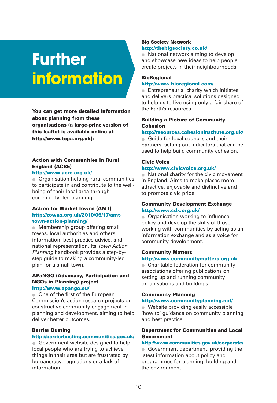# **Further information**

You can get more detailed information about planning from these organisations (a large-print version of this leaflet is available online at http://www.tcpa.org.uk):

#### Action with Communities in Rural England (ACRE)

#### http://www.acre.org.uk/

● Organisation helping rural communities to participate in and contribute to the wellbeing of their local area through community- led planning.

#### Action for Market Towns (AMT) http://towns.org.uk/2010/06/17/amttown-action-planning/

● Membership group offering small towns, local authorities and others information, best practice advice, and national representation. Its Town Action Planning handbook provides a step-bystep guide to making a community-led plan for a small town.

#### APaNGO (Advocacy, Participation and NGOs in Planning) project

#### http://www.apango.eu/

● One of the first of the European Commission's action research projects on constructive community engagement in planning and development, aiming to help deliver better outcomes.

#### Barrier Busting

#### http://barrierbusting.communities.gov.uk/

● Government website designed to help local people who are trying to achieve things in their area but are frustrated by bureaucracy, regulations or a lack of information.

#### Big Society Network http://thebigsociety.co.uk/

● National network aiming to develop and showcase new ideas to help people create projects in their neighbourhoods.

#### **BioRegional** http://www.bioregional.com/

● Entrepreneurial charity which initiates and delivers practical solutions designed to help us to live using only a fair share of the Earth's resources.

#### Building a Picture of Community **Cohesion**

#### http://resources.cohesioninstitute.org.uk/

● Guide for local councils and their partners, setting out indicators that can be used to help build community cohesion.

#### Civic Voice

#### http://www.civicvoice.org.uk/

● National charity for the civic movement in England. Aims to make places more attractive, enjoyable and distinctive and to promote civic pride.

#### Community Development Exchange http://www.cdx.org.uk/

● Organisation working to influence policy and develop the skills of those working with communities by acting as an information exchange and as a voice for community development.

#### Community Matters

http://www.communitymatters.org.uk

● Charitable federation for community associations offering publications on setting up and running community organisations and buildings.

#### Community Planning

#### http://www.communityplanning.net/

● Website providing easily accessible 'how to' guidance on community planning and best practice.

#### Department for Communities and Local Government

http://www.communities.gov.uk/corporate/

● Government department, providing the latest information about policy and programmes for planning, building and the environment.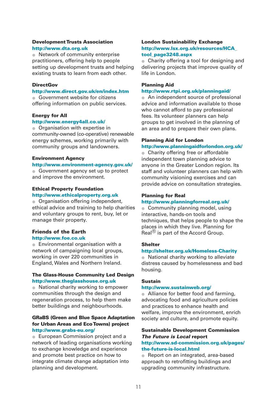#### Development Trusts Association http://www.dta.org.uk

● Network of community enterprise practitioners, offering help to people setting up development trusts and helping existing trusts to learn from each other.

#### **DirectGov**

#### http://www.direct.gov.uk/en/index.htm

● Government website for citizens offering information on public services.

#### Energy for All

#### http://www.energy4all.co.uk/

● Organisation with expertise in community-owned (co-operative) renewable energy schemes, working primarily with community groups and landowners.

#### Environment Agency

#### http://www.environment-agency.gov.uk/

● Government agency set up to protect and improve the environment.

#### Ethical Property Foundation

#### http://www.ethicalproperty.org.uk

● Organisation offering independent. ethical advice and training to help charities and voluntary groups to rent, buy, let or manage their property.

#### Friends of the Earth

#### http://www.foe.co.uk

● Environmental organisation with a network of campaigning local groups, working in over 220 communities in England, Wales and Northern Ireland.

#### The Glass-House Community Led Design http://www.theglasshouse.org.uk

● National charity working to empower communities through the design and regeneration process, to help them make better buildings and neighbourhoods.

#### GRaBS (Green and Blue Space Adaptation for Urban Areas and Eco Towns) project http://www.grabs-eu.org/

● European Commission project and a network of leading organisations working to exchange knowledge and experience and promote best practice on how to integrate climate change adaptation into planning and development.

#### London Sustainability Exchange http://www.lsx.org.uk/resources/HCA\_ tool\_page3248.aspx

● Charity offering a tool for designing and delivering projects that improve quality of life in London.

#### Planning Aid

#### http://www.rtpi.org.uk/planningaid/

● An independent source of professional advice and information available to those who cannot afford to pay professional fees. Its volunteer planners can help groups to get involved in the planning of an area and to prepare their own plans.

#### Planning Aid for London

#### http://www.planningaidforlondon.org.uk/

● Charity offering free or affordable independent town planning advice to anyone in the Greater London region. Its staff and volunteer planners can help with community visioning exercises and can provide advice on consultation strategies.

#### Planning for Real

#### http://www.planningforreal.org.uk/

● Community planning model, using interactive, hands-on tools and techniques, that helps people to shape the places in which they live. Planning for Real $^{\circledR}$  is part of the Accord Group.

#### **Shelter**

#### http://shelter.org.uk/Homeless-Charity

● National charity working to alleviate distress caused by homelessness and bad housing.

#### Sustain

#### http://www.sustainweb.org/

the-future-is-local.html

● Alliance for better food and farming, advocating food and agriculture policies and practices to enhance health and welfare, improve the environment, enrich society and culture, and promote equity.

#### Sustainable Development Commission The Future is Local report http://www.sd-commission.org.uk/pages/

● Report on an integrated, area-based approach to retrofitting buildings and upgrading community infrastructure.